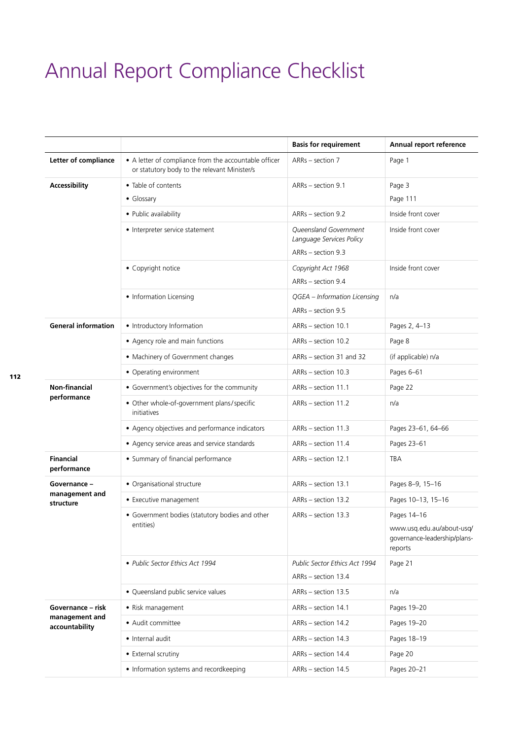## Annual Report Compliance Checklist

|                                                       |                                                                                                       | <b>Basis for requirement</b>                                            | Annual report reference                                              |
|-------------------------------------------------------|-------------------------------------------------------------------------------------------------------|-------------------------------------------------------------------------|----------------------------------------------------------------------|
| Letter of compliance                                  | • A letter of compliance from the accountable officer<br>or statutory body to the relevant Minister/s | ARRs - section 7                                                        | Page 1                                                               |
| <b>Accessibility</b>                                  | • Table of contents                                                                                   | ARRs - section 9.1                                                      | Page 3                                                               |
|                                                       | • Glossary                                                                                            |                                                                         | Page 111                                                             |
|                                                       | • Public availability                                                                                 | ARRs - section 9.2                                                      | Inside front cover                                                   |
|                                                       | • Interpreter service statement                                                                       | Queensland Government<br>Language Services Policy<br>ARRs - section 9.3 | Inside front cover                                                   |
|                                                       | • Copyright notice                                                                                    | Copyright Act 1968<br>ARRs - section 9.4                                | Inside front cover                                                   |
|                                                       | • Information Licensing                                                                               | QGEA - Information Licensing<br>ARRs - section 9.5                      | n/a                                                                  |
| <b>General information</b>                            | • Introductory Information                                                                            | ARRs - section 10.1                                                     | Pages 2, 4-13                                                        |
|                                                       | • Agency role and main functions                                                                      | ARRs - section 10.2                                                     | Page 8                                                               |
|                                                       | • Machinery of Government changes                                                                     | ARRs – section 31 and 32                                                | (if applicable) n/a                                                  |
|                                                       | • Operating environment                                                                               | ARRs - section 10.3                                                     | Pages 6-61                                                           |
| <b>Non-financial</b><br>performance                   | • Government's objectives for the community                                                           | ARRs - section 11.1                                                     | Page 22                                                              |
|                                                       | • Other whole-of-government plans/specific<br><i>initiatives</i>                                      | ARRs - section 11.2                                                     | n/a                                                                  |
|                                                       | • Agency objectives and performance indicators                                                        | ARRs - section 11.3                                                     | Pages 23-61, 64-66                                                   |
|                                                       | • Agency service areas and service standards                                                          | ARRs - section 11.4                                                     | Pages 23-61                                                          |
| <b>Financial</b><br>performance                       | • Summary of financial performance                                                                    | ARRs - section 12.1                                                     | TBA                                                                  |
| Governance -<br>management and<br>structure           | • Organisational structure                                                                            | ARRs - section 13.1                                                     | Pages 8-9, 15-16                                                     |
|                                                       | • Executive management                                                                                | ARRs - section 13.2                                                     | Pages 10-13, 15-16                                                   |
|                                                       | • Government bodies (statutory bodies and other                                                       | ARRs - section 13.3                                                     | Pages 14-16                                                          |
|                                                       | entities)                                                                                             |                                                                         | www.usq.edu.au/about-usq/<br>governance-leadership/plans-<br>reports |
|                                                       | · Public Sector Ethics Act 1994                                                                       | Public Sector Ethics Act 1994                                           | Page 21                                                              |
|                                                       |                                                                                                       | ARRs - section 13.4                                                     |                                                                      |
|                                                       | • Queensland public service values                                                                    | ARRs - section 13.5                                                     | n/a                                                                  |
| Governance – risk<br>management and<br>accountability | • Risk management                                                                                     | ARRs - section 14.1                                                     | Pages 19-20                                                          |
|                                                       | · Audit committee                                                                                     | ARRs - section 14.2                                                     | Pages 19-20                                                          |
|                                                       | • Internal audit                                                                                      | ARRs - section 14.3                                                     | Pages 18-19                                                          |
|                                                       | • External scrutiny                                                                                   | ARRs - section 14.4                                                     | Page 20                                                              |
|                                                       | • Information systems and recordkeeping                                                               | ARRs - section 14.5                                                     | Pages 20-21                                                          |